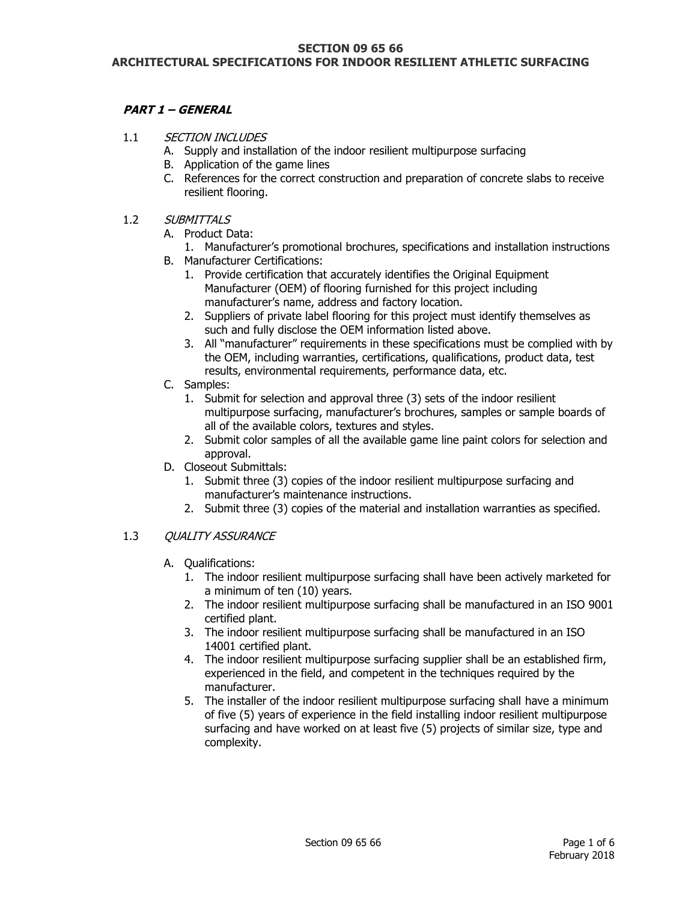#### **SECTION 09 65 66 ARCHITECTURAL SPECIFICATIONS FOR INDOOR RESILIENT ATHLETIC SURFACING**

# **PART 1 – GENERAL**

- 1.1 SECTION INCLUDES
	- A. Supply and installation of the indoor resilient multipurpose surfacing
	- B. Application of the game lines
	- C. References for the correct construction and preparation of concrete slabs to receive resilient flooring.
- 1.2 SUBMITTALS
	- A. Product Data:
		- 1. Manufacturer's promotional brochures, specifications and installation instructions
	- B. Manufacturer Certifications:
		- 1. Provide certification that accurately identifies the Original Equipment Manufacturer (OEM) of flooring furnished for this project including manufacturer's name, address and factory location.
		- 2. Suppliers of private label flooring for this project must identify themselves as such and fully disclose the OEM information listed above.
		- 3. All "manufacturer" requirements in these specifications must be complied with by the OEM, including warranties, certifications, qualifications, product data, test results, environmental requirements, performance data, etc.
	- C. Samples:
		- 1. Submit for selection and approval three (3) sets of the indoor resilient multipurpose surfacing, manufacturer's brochures, samples or sample boards of all of the available colors, textures and styles.
		- 2. Submit color samples of all the available game line paint colors for selection and approval.
	- D. Closeout Submittals:
		- 1. Submit three (3) copies of the indoor resilient multipurpose surfacing and manufacturer's maintenance instructions.
		- 2. Submit three (3) copies of the material and installation warranties as specified.

#### 1.3 OUALITY ASSURANCE

- A. Qualifications:
	- 1. The indoor resilient multipurpose surfacing shall have been actively marketed for a minimum of ten (10) years.
	- 2. The indoor resilient multipurpose surfacing shall be manufactured in an ISO 9001 certified plant.
	- 3. The indoor resilient multipurpose surfacing shall be manufactured in an ISO 14001 certified plant.
	- 4. The indoor resilient multipurpose surfacing supplier shall be an established firm, experienced in the field, and competent in the techniques required by the manufacturer.
	- 5. The installer of the indoor resilient multipurpose surfacing shall have a minimum of five (5) years of experience in the field installing indoor resilient multipurpose surfacing and have worked on at least five (5) projects of similar size, type and complexity.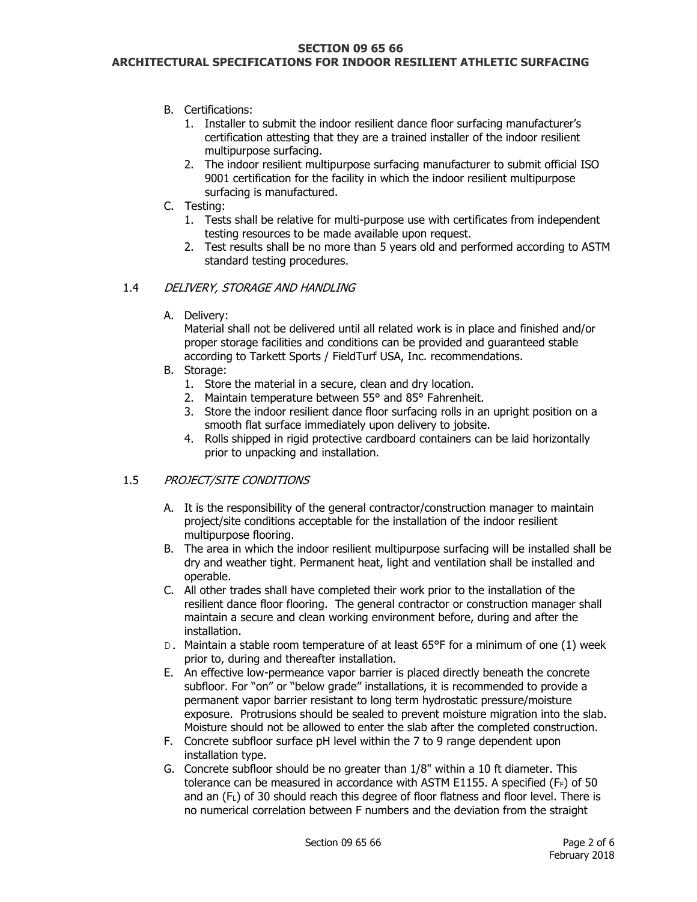#### **SECTION 09 65 66**

### **ARCHITECTURAL SPECIFICATIONS FOR INDOOR RESILIENT ATHLETIC SURFACING**

- B. Certifications:
	- 1. Installer to submit the indoor resilient dance floor surfacing manufacturer's certification attesting that they are a trained installer of the indoor resilient multipurpose surfacing.
	- 2. The indoor resilient multipurpose surfacing manufacturer to submit official ISO 9001 certification for the facility in which the indoor resilient multipurpose surfacing is manufactured.
- C. Testing:
	- 1. Tests shall be relative for multi-purpose use with certificates from independent testing resources to be made available upon request.
	- 2. Test results shall be no more than 5 years old and performed according to ASTM standard testing procedures.

#### 1.4 DELIVERY, STORAGE AND HANDLING

A. Delivery:

Material shall not be delivered until all related work is in place and finished and/or proper storage facilities and conditions can be provided and guaranteed stable according to Tarkett Sports / FieldTurf USA, Inc. recommendations.

- B. Storage:
	- 1. Store the material in a secure, clean and dry location.
	- 2. Maintain temperature between 55° and 85° Fahrenheit.
	- 3. Store the indoor resilient dance floor surfacing rolls in an upright position on a smooth flat surface immediately upon delivery to jobsite.
	- 4. Rolls shipped in rigid protective cardboard containers can be laid horizontally prior to unpacking and installation.

#### 1.5 PROJECT/SITE CONDITIONS

- A. It is the responsibility of the general contractor/construction manager to maintain project/site conditions acceptable for the installation of the indoor resilient multipurpose flooring.
- B. The area in which the indoor resilient multipurpose surfacing will be installed shall be dry and weather tight. Permanent heat, light and ventilation shall be installed and operable.
- C. All other trades shall have completed their work prior to the installation of the resilient dance floor flooring. The general contractor or construction manager shall maintain a secure and clean working environment before, during and after the installation.
- D. Maintain a stable room temperature of at least 65°F for a minimum of one (1) week prior to, during and thereafter installation.
- E. An effective low-permeance vapor barrier is placed directly beneath the concrete subfloor. For "on" or "below grade" installations, it is recommended to provide a permanent vapor barrier resistant to long term hydrostatic pressure/moisture exposure. Protrusions should be sealed to prevent moisture migration into the slab. Moisture should not be allowed to enter the slab after the completed construction.
- F. Concrete subfloor surface pH level within the 7 to 9 range dependent upon installation type.
- G. Concrete subfloor should be no greater than 1/8" within a 10 ft diameter. This tolerance can be measured in accordance with ASTM E1155. A specified (FF) of 50 and an (FL) of 30 should reach this degree of floor flatness and floor level. There is no numerical correlation between F numbers and the deviation from the straight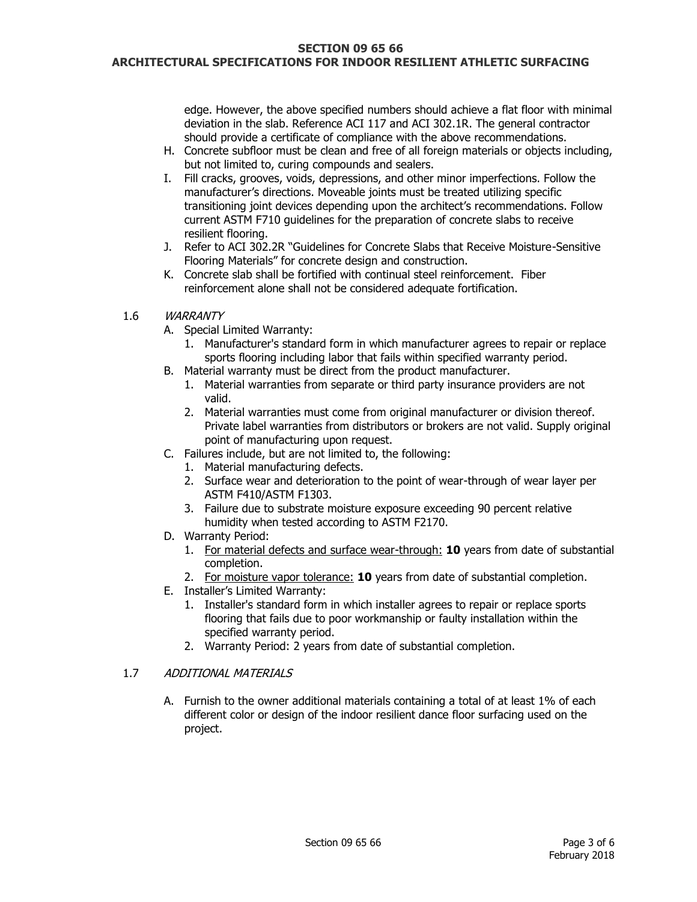#### **SECTION 09 65 66**

#### **ARCHITECTURAL SPECIFICATIONS FOR INDOOR RESILIENT ATHLETIC SURFACING**

edge. However, the above specified numbers should achieve a flat floor with minimal deviation in the slab. Reference ACI 117 and ACI 302.1R. The general contractor should provide a certificate of compliance with the above recommendations.

- H. Concrete subfloor must be clean and free of all foreign materials or objects including, but not limited to, curing compounds and sealers.
- I. Fill cracks, grooves, voids, depressions, and other minor imperfections. Follow the manufacturer's directions. Moveable joints must be treated utilizing specific transitioning joint devices depending upon the architect's recommendations. Follow current ASTM F710 guidelines for the preparation of concrete slabs to receive resilient flooring.
- J. Refer to ACI 302.2R "Guidelines for Concrete Slabs that Receive Moisture-Sensitive Flooring Materials" for concrete design and construction.
- K. Concrete slab shall be fortified with continual steel reinforcement. Fiber reinforcement alone shall not be considered adequate fortification.

#### 1.6 WARRANTY

- A. Special Limited Warranty:
	- 1. Manufacturer's standard form in which manufacturer agrees to repair or replace sports flooring including labor that fails within specified warranty period.
- B. Material warranty must be direct from the product manufacturer.
	- 1. Material warranties from separate or third party insurance providers are not valid.
	- 2. Material warranties must come from original manufacturer or division thereof. Private label warranties from distributors or brokers are not valid. Supply original point of manufacturing upon request.
- C. Failures include, but are not limited to, the following:
	- 1. Material manufacturing defects.
	- 2. Surface wear and deterioration to the point of wear-through of wear layer per ASTM F410/ASTM F1303.
	- 3. Failure due to substrate moisture exposure exceeding 90 percent relative humidity when tested according to ASTM F2170.
- D. Warranty Period:
	- 1. For material defects and surface wear-through: **10** years from date of substantial completion.
	- 2. For moisture vapor tolerance: **10** years from date of substantial completion.
- E. Installer's Limited Warranty:
	- 1. Installer's standard form in which installer agrees to repair or replace sports flooring that fails due to poor workmanship or faulty installation within the specified warranty period.
	- 2. Warranty Period: 2 years from date of substantial completion.

#### 1.7 ADDITIONAL MATERIALS

A. Furnish to the owner additional materials containing a total of at least 1% of each different color or design of the indoor resilient dance floor surfacing used on the project.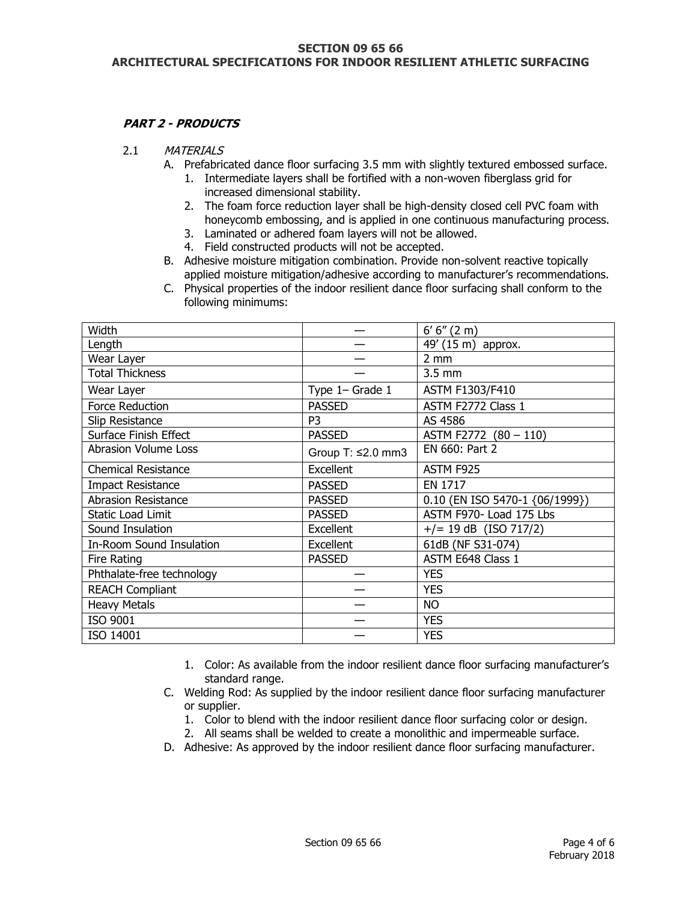#### **SECTION 09 65 66 ARCHITECTURAL SPECIFICATIONS FOR INDOOR RESILIENT ATHLETIC SURFACING**

# **PART 2 - PRODUCTS**

- 2.1 MATERIALS
	- A. Prefabricated dance floor surfacing 3.5 mm with slightly textured embossed surface.
		- 1. Intermediate layers shall be fortified with a non-woven fiberglass grid for increased dimensional stability.
		- 2. The foam force reduction layer shall be high-density closed cell PVC foam with honeycomb embossing, and is applied in one continuous manufacturing process.
		- 3. Laminated or adhered foam layers will not be allowed.
		- 4. Field constructed products will not be accepted.
	- B. Adhesive moisture mitigation combination. Provide non-solvent reactive topically applied moisture mitigation/adhesive according to manufacturer's recommendations.
	- C. Physical properties of the indoor resilient dance floor surfacing shall conform to the following minimums:

| Width                       |                         | 6' 6'' (2 m)                   |
|-----------------------------|-------------------------|--------------------------------|
| Length                      |                         | 49' (15 m) approx.             |
| Wear Layer                  |                         | $2 \, \text{mm}$               |
| <b>Total Thickness</b>      |                         | $3.5 \text{ mm}$               |
| Wear Layer                  | Type 1- Grade 1         | ASTM F1303/F410                |
| Force Reduction             | <b>PASSED</b>           | ASTM F2772 Class 1             |
| Slip Resistance             | P <sub>3</sub>          | AS 4586                        |
| Surface Finish Effect       | <b>PASSED</b>           | ASTM F2772 (80 - 110)          |
| <b>Abrasion Volume Loss</b> | Group T: $\leq$ 2.0 mm3 | EN 660: Part 2                 |
| <b>Chemical Resistance</b>  | Excellent               | ASTM F925                      |
| <b>Impact Resistance</b>    | <b>PASSED</b>           | EN 1717                        |
| <b>Abrasion Resistance</b>  | <b>PASSED</b>           | 0.10 (EN ISO 5470-1 {06/1999}) |
| Static Load Limit           | <b>PASSED</b>           | ASTM F970- Load 175 Lbs        |
| Sound Insulation            | Excellent               | $+/- 19$ dB (ISO 717/2)        |
| In-Room Sound Insulation    | Excellent               | 61dB (NF S31-074)              |
| Fire Rating                 | <b>PASSED</b>           | ASTM E648 Class 1              |
| Phthalate-free technology   |                         | <b>YES</b>                     |
| <b>REACH Compliant</b>      |                         | <b>YES</b>                     |
| <b>Heavy Metals</b>         |                         | <b>NO</b>                      |
| ISO 9001                    |                         | <b>YES</b>                     |
| ISO 14001                   |                         | <b>YES</b>                     |

- 1. Color: As available from the indoor resilient dance floor surfacing manufacturer's standard range.
- C. Welding Rod: As supplied by the indoor resilient dance floor surfacing manufacturer or supplier.
	- 1. Color to blend with the indoor resilient dance floor surfacing color or design.
	- 2. All seams shall be welded to create a monolithic and impermeable surface.
- D. Adhesive: As approved by the indoor resilient dance floor surfacing manufacturer.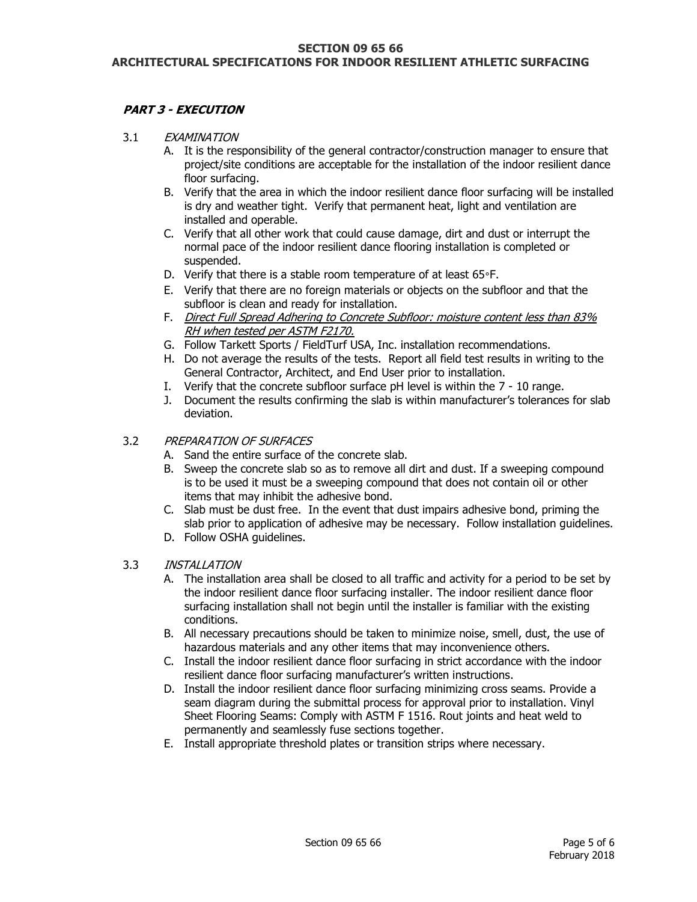# **PART 3 - EXECUTION**

- 3.1 EXAMINATION
	- A. It is the responsibility of the general contractor/construction manager to ensure that project/site conditions are acceptable for the installation of the indoor resilient dance floor surfacing.
	- B. Verify that the area in which the indoor resilient dance floor surfacing will be installed is dry and weather tight. Verify that permanent heat, light and ventilation are installed and operable.
	- C. Verify that all other work that could cause damage, dirt and dust or interrupt the normal pace of the indoor resilient dance flooring installation is completed or suspended.
	- D. Verify that there is a stable room temperature of at least 65°F.
	- E. Verify that there are no foreign materials or objects on the subfloor and that the subfloor is clean and ready for installation.
	- F. Direct Full Spread Adhering to Concrete Subfloor: moisture content less than 83% RH when tested per ASTM F2170.
	- G. Follow Tarkett Sports / FieldTurf USA, Inc. installation recommendations.
	- H. Do not average the results of the tests. Report all field test results in writing to the General Contractor, Architect, and End User prior to installation.
	- I. Verify that the concrete subfloor surface pH level is within the 7 10 range.
	- J. Document the results confirming the slab is within manufacturer's tolerances for slab deviation.

# 3.2 PREPARATION OF SURFACES

- A. Sand the entire surface of the concrete slab.
- B. Sweep the concrete slab so as to remove all dirt and dust. If a sweeping compound is to be used it must be a sweeping compound that does not contain oil or other items that may inhibit the adhesive bond.
- C. Slab must be dust free. In the event that dust impairs adhesive bond, priming the slab prior to application of adhesive may be necessary. Follow installation guidelines.
- D. Follow OSHA guidelines.
- 3.3 INSTALLATION
	- A. The installation area shall be closed to all traffic and activity for a period to be set by the indoor resilient dance floor surfacing installer. The indoor resilient dance floor surfacing installation shall not begin until the installer is familiar with the existing conditions.
	- B. All necessary precautions should be taken to minimize noise, smell, dust, the use of hazardous materials and any other items that may inconvenience others.
	- C. Install the indoor resilient dance floor surfacing in strict accordance with the indoor resilient dance floor surfacing manufacturer's written instructions.
	- D. Install the indoor resilient dance floor surfacing minimizing cross seams. Provide a seam diagram during the submittal process for approval prior to installation. Vinyl Sheet Flooring Seams: Comply with ASTM F 1516. Rout joints and heat weld to permanently and seamlessly fuse sections together.
	- E. Install appropriate threshold plates or transition strips where necessary.